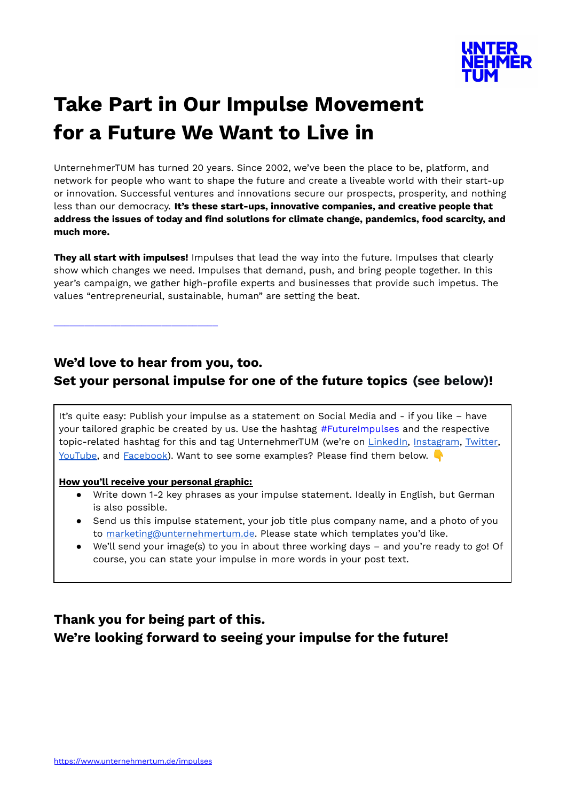

# **Take Part in Our Impulse Movement for a Future We Want to Live in**

UnternehmerTUM has turned 20 years. Since 2002, we've been the place to be, platform, and network for people who want to shape the future and create a liveable world with their start-up or innovation. Successful ventures and innovations secure our prospects, prosperity, and nothing less than our democracy. **It's these start-ups, innovative companies, and creative people that address the issues of today and find solutions for climate change, pandemics, food scarcity, and much more.**

**They all start with impulses!** Impulses that lead the way into the future. Impulses that clearly show which changes we need. Impulses that demand, push, and bring people together. In this year's campaign, we gather high-profile experts and businesses that provide such impetus. The values "entrepreneurial, sustainable, human" are setting the beat.

**We'd love to hear from you, too. Set your personal impulse for one of the future topics (see below)!**

It's quite easy: Publish your impulse as a statement on Social Media and - if you like – have your tailored graphic be created by us. Use the hashtag #FutureImpulses and the respective topic-related hashtag for this and tag UnternehmerTUM (we're on [LinkedIn,](https://www.linkedin.com/company/unternehmertum) [Instagram](https://www.instagram.com/unternehmertum_munich/), [Twitter](http://twitter.com/utum_muc), [YouTube](http://www.youtube.com/user/UnternehmerTUMGmbH), and [Facebook](http://www.facebook.com/UnternehmerTUM)). Want to see some examples? Please find them below.

#### **How you'll receive your personal graphic:**

\_\_\_\_\_\_\_\_\_\_\_\_\_\_\_\_\_\_\_\_\_\_\_\_\_\_\_\_\_\_\_\_

- Write down 1-2 key phrases as your impulse statement. Ideally in English, but German is also possible.
- Send us this impulse statement, your job title plus company name, and a photo of you to [marketing@unternehmertum.de.](mailto:marketing@unternehmertum.de) Please state which templates you'd like.
- We'll send your image(s) to you in about three working days and you're ready to go! Of course, you can state your impulse in more words in your post text.

# **Thank you for being part of this. We're looking forward to seeing your impulse for the future!**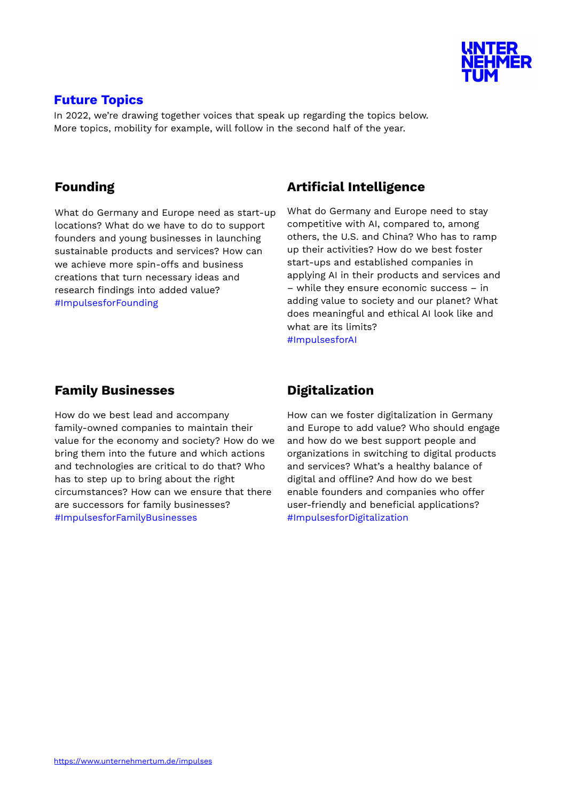

#### **Future Topics**

In 2022, we're drawing together voices that speak up regarding the topics below. More topics, mobility for example, will follow in the second half of the year.

## **Founding**

What do Germany and Europe need as start-up locations? What do we have to do to support founders and young businesses in launching sustainable products and services? How can we achieve more spin-offs and business creations that turn necessary ideas and research findings into added value? #ImpulsesforFounding

# **Artificial Intelligence**

What do Germany and Europe need to stay competitive with AI, compared to, among others, the U.S. and China? Who has to ramp up their activities? How do we best foster start-ups and established companies in applying AI in their products and services and – while they ensure economic success – in adding value to society and our planet? What does meaningful and ethical AI look like and what are its limits? #ImpulsesforAI

# **Family Businesses**

How do we best lead and accompany family-owned companies to maintain their value for the economy and society? How do we bring them into the future and which actions and technologies are critical to do that? Who has to step up to bring about the right circumstances? How can we ensure that there are successors for family businesses? #ImpulsesforFamilyBusinesses

# **Digitalization**

How can we foster digitalization in Germany and Europe to add value? Who should engage and how do we best support people and organizations in switching to digital products and services? What's a healthy balance of digital and offline? And how do we best enable founders and companies who offer user-friendly and beneficial applications? #ImpulsesforDigitalization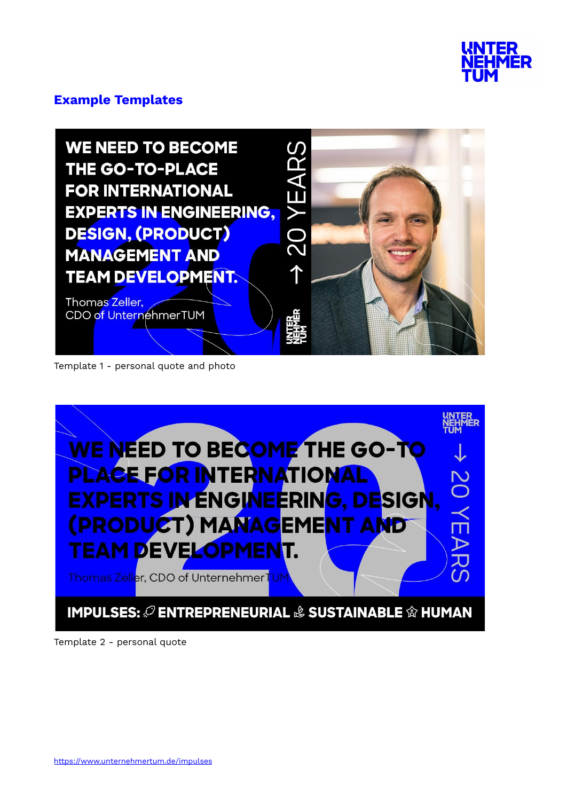

#### **Example Templates**

**WE NEED TO BECOME** YEARS **THE GO-TO-PLACE FOR INTERNATIONAL EXPERTS IN ENGINEERING,**  $\overline{20}$ **DESIGN, (PRODUCT) MANAGEMENT AND TEAM DEVELOPMENT.** 

Thomas Zeller, CDO of UnternehmerTUM

Template 1 - personal quote and photo



1

Template 2 - personal quote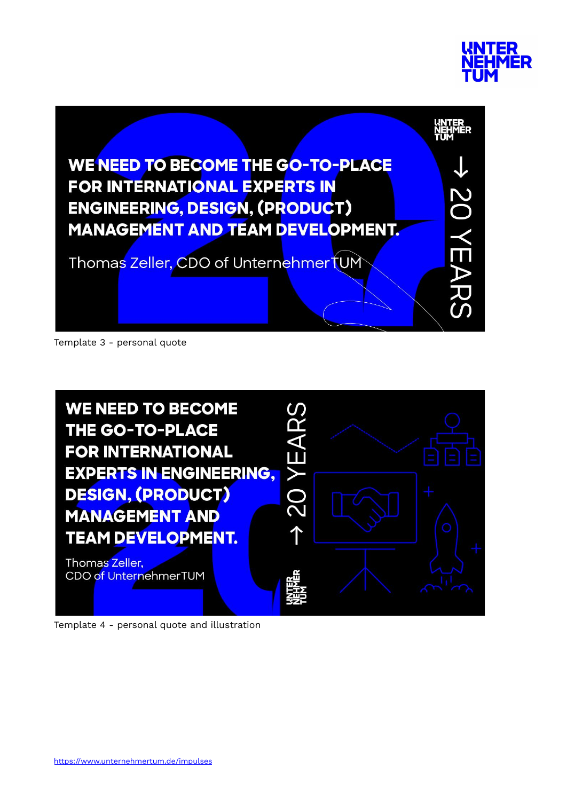



Template 3 - personal quote



Template 4 - personal quote and illustration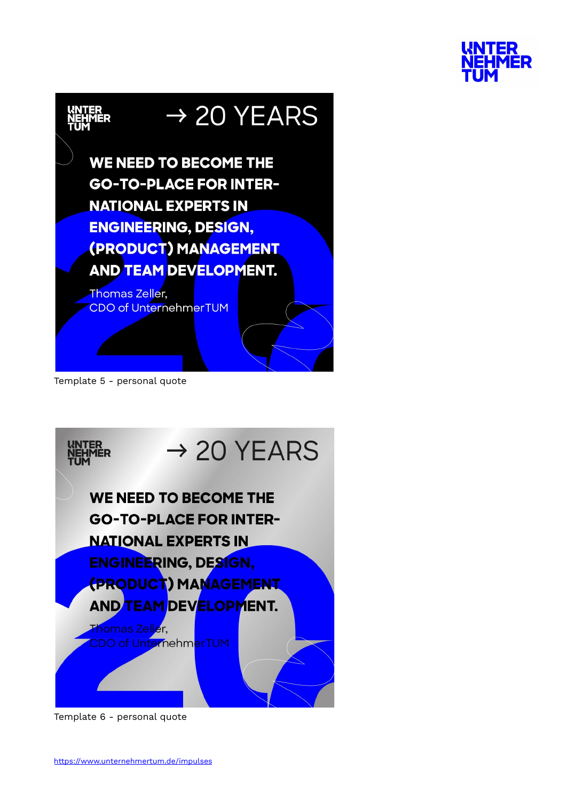



Template 5 - personal quote